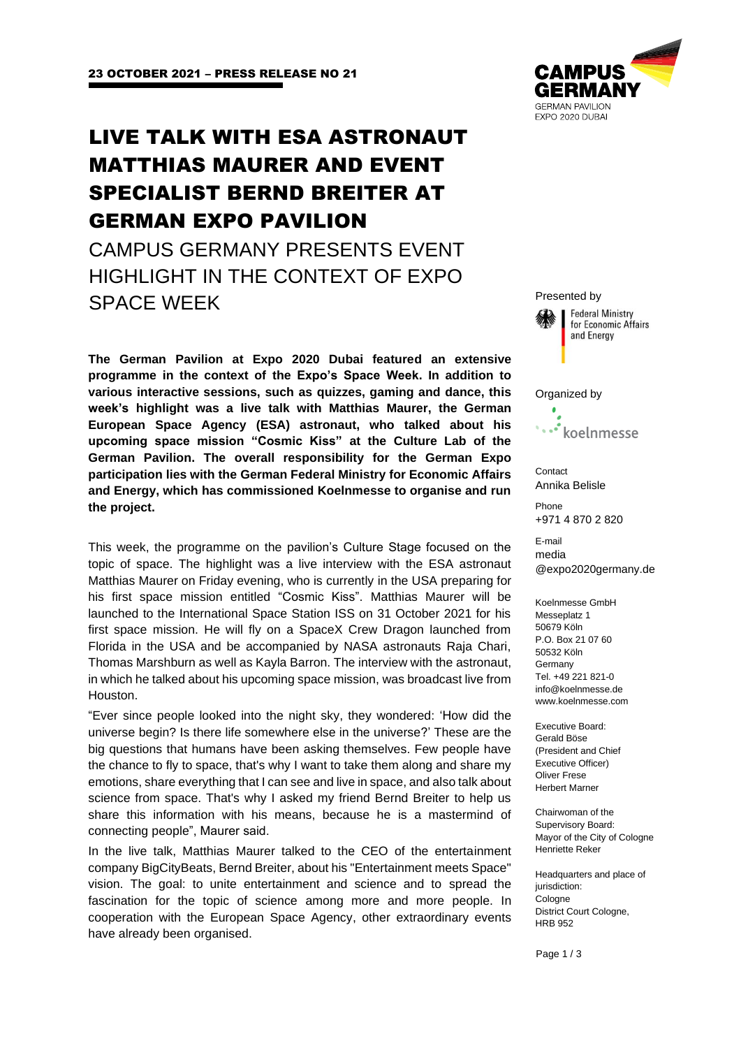# LIVE TALK WITH ESA ASTRONAUT MATTHIAS MAURER AND EVENT SPECIALIST BERND BREITER AT GERMAN EXPO PAVILION

CAMPUS GERMANY PRESENTS EVENT HIGHLIGHT IN THE CONTEXT OF EXPO SPACE WEEK

**The German Pavilion at Expo 2020 Dubai featured an extensive programme in the context of the Expo's Space Week. In addition to various interactive sessions, such as quizzes, gaming and dance, this week's highlight was a live talk with Matthias Maurer, the German European Space Agency (ESA) astronaut, who talked about his upcoming space mission "Cosmic Kiss" at the Culture Lab of the German Pavilion. The overall responsibility for the German Expo participation lies with the German Federal Ministry for Economic Affairs and Energy, which has commissioned Koelnmesse to organise and run the project.** 

This week, the programme on the pavilion's Culture Stage focused on the topic of space. The highlight was a live interview with the ESA astronaut Matthias Maurer on Friday evening, who is currently in the USA preparing for his first space mission entitled "Cosmic Kiss". Matthias Maurer will be launched to the International Space Station ISS on 31 October 2021 for his first space mission. He will fly on a SpaceX Crew Dragon launched from Florida in the USA and be accompanied by NASA astronauts Raja Chari, Thomas Marshburn as well as Kayla Barron. The interview with the astronaut, in which he talked about his upcoming space mission, was broadcast live from Houston.

"Ever since people looked into the night sky, they wondered: 'How did the universe begin? Is there life somewhere else in the universe?' These are the big questions that humans have been asking themselves. Few people have the chance to fly to space, that's why I want to take them along and share my emotions, share everything that I can see and live in space, and also talk about science from space. That's why I asked my friend Bernd Breiter to help us share this information with his means, because he is a mastermind of connecting people", Maurer said.

In the live talk, Matthias Maurer talked to the CEO of the entertainment company BigCityBeats, Bernd Breiter, about his "Entertainment meets Space" vision. The goal: to unite entertainment and science and to spread the fascination for the topic of science among more and more people. In cooperation with the European Space Agency, other extraordinary events have already been organised.



Presented by **Federal Ministry** for Economic Affairs and Energy Organized by koelnmesse **Contact** Annika Belisle Phone +971 4 870 2 820 E-mail media @expo2020germany.de Koelnmesse GmbH

Messeplatz 1 50679 Köln P.O. Box 21 07 60 50532 Köln Germany Tel. +49 221 821-0 info@koelnmesse.de www.koelnmesse.com

Executive Board: Gerald Böse (President and Chief Executive Officer) Oliver Frese Herbert Marner

Chairwoman of the Supervisory Board: Mayor of the City of Cologne Henriette Reker

Headquarters and place of jurisdiction: Cologne District Court Cologne, HRB 952

Page 1 / 3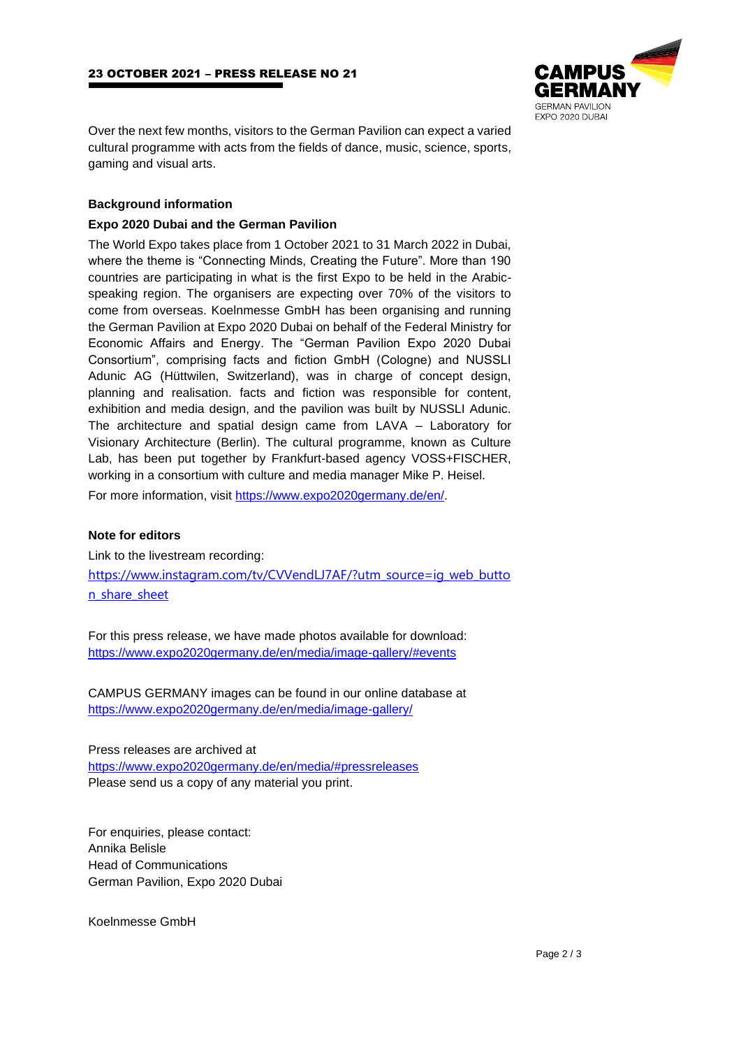

Over the next few months, visitors to the German Pavilion can expect a varied cultural programme with acts from the fields of dance, music, science, sports, gaming and visual arts.

## **Background information**

### **Expo 2020 Dubai and the German Pavilion**

The World Expo takes place from 1 October 2021 to 31 March 2022 in Dubai, where the theme is "Connecting Minds, Creating the Future". More than 190 countries are participating in what is the first Expo to be held in the Arabicspeaking region. The organisers are expecting over 70% of the visitors to come from overseas. Koelnmesse GmbH has been organising and running the German Pavilion at Expo 2020 Dubai on behalf of the Federal Ministry for Economic Affairs and Energy. The "German Pavilion Expo 2020 Dubai Consortium", comprising facts and fiction GmbH (Cologne) and NUSSLI Adunic AG (Hüttwilen, Switzerland), was in charge of concept design, planning and realisation. facts and fiction was responsible for content, exhibition and media design, and the pavilion was built by NUSSLI Adunic. The architecture and spatial design came from LAVA – Laboratory for Visionary Architecture (Berlin). The cultural programme, known as Culture Lab, has been put together by Frankfurt-based agency VOSS+FISCHER, working in a consortium with culture and media manager Mike P. Heisel. For more information, visit [https://www.expo2020germany.de/en/.](https://www.expo2020germany.de/en/)

#### **Note for editors**

Link to the livestream recording: [https://www.instagram.com/tv/CVVendLJ7AF/?utm\\_source=ig\\_web\\_butto](https://www.instagram.com/tv/CVVendLJ7AF/?utm_source=ig_web_button_share_sheet) [n\\_share\\_sheet](https://www.instagram.com/tv/CVVendLJ7AF/?utm_source=ig_web_button_share_sheet)

For this press release, we have made photos available for download: <https://www.expo2020germany.de/en/media/image-gallery/#events>

CAMPUS GERMANY images can be found in our online database at <https://www.expo2020germany.de/en/media/image-gallery/>

Press releases are archived at <https://www.expo2020germany.de/en/media/#pressreleases> Please send us a copy of any material you print.

For enquiries, please contact: Annika Belisle Head of Communications German Pavilion, Expo 2020 Dubai

Koelnmesse GmbH